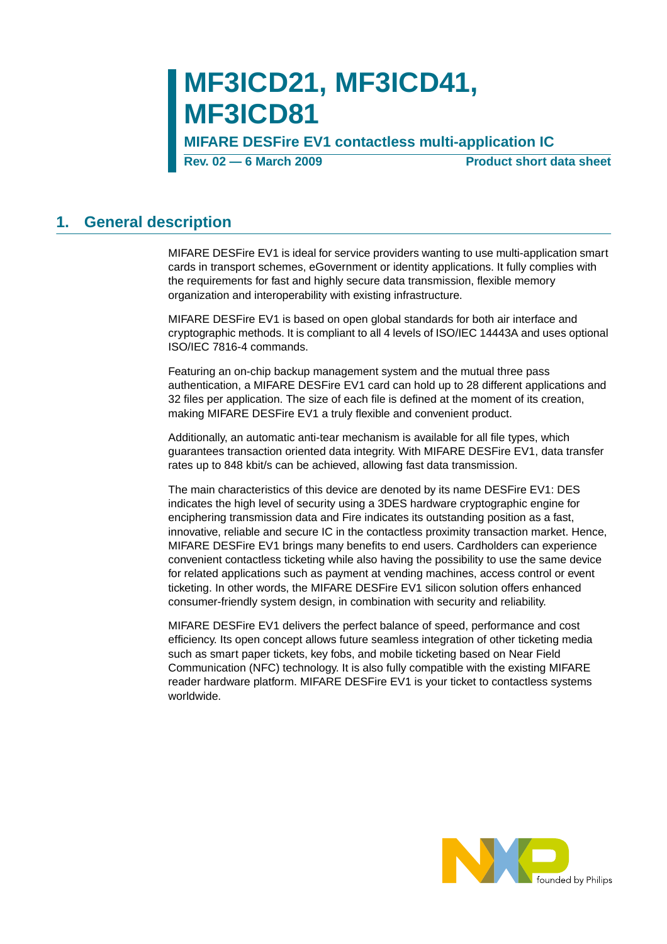# **MF3ICD21, MF3ICD41, MF3ICD81**

**MIFARE DESFire EV1 contactless multi-application IC**

**Rev. 02 – 6 March 2009** Product short data sheet

### <span id="page-0-0"></span>**1. General description**

MIFARE DESFire EV1 is ideal for service providers wanting to use multi-application smart cards in transport schemes, eGovernment or identity applications. It fully complies with the requirements for fast and highly secure data transmission, flexible memory organization and interoperability with existing infrastructure.

MIFARE DESFire EV1 is based on open global standards for both air interface and cryptographic methods. It is compliant to all 4 levels of ISO/IEC 14443A and uses optional ISO/IEC 7816-4 commands.

Featuring an on-chip backup management system and the mutual three pass authentication, a MIFARE DESFire EV1 card can hold up to 28 different applications and 32 files per application. The size of each file is defined at the moment of its creation, making MIFARE DESFire EV1 a truly flexible and convenient product.

Additionally, an automatic anti-tear mechanism is available for all file types, which guarantees transaction oriented data integrity. With MIFARE DESFire EV1, data transfer rates up to 848 kbit/s can be achieved, allowing fast data transmission.

The main characteristics of this device are denoted by its name DESFire EV1: DES indicates the high level of security using a 3DES hardware cryptographic engine for enciphering transmission data and Fire indicates its outstanding position as a fast, innovative, reliable and secure IC in the contactless proximity transaction market. Hence, MIFARE DESFire EV1 brings many benefits to end users. Cardholders can experience convenient contactless ticketing while also having the possibility to use the same device for related applications such as payment at vending machines, access control or event ticketing. In other words, the MIFARE DESFire EV1 silicon solution offers enhanced consumer-friendly system design, in combination with security and reliability.

MIFARE DESFire EV1 delivers the perfect balance of speed, performance and cost efficiency. Its open concept allows future seamless integration of other ticketing media such as smart paper tickets, key fobs, and mobile ticketing based on Near Field Communication (NFC) technology. It is also fully compatible with the existing MIFARE reader hardware platform. MIFARE DESFire EV1 is your ticket to contactless systems worldwide.

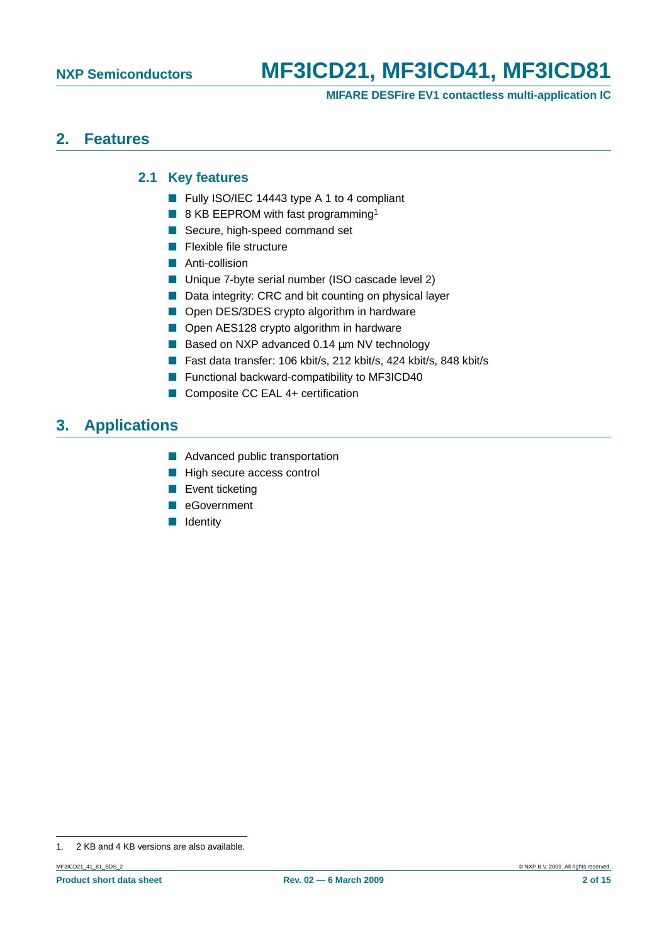**MIFARE DESFire EV1 contactless multi-application IC**

### <span id="page-1-2"></span><span id="page-1-0"></span>**2. Features**

#### **2.1 Key features**

- Fully ISO/IEC 14443 type A 1 to 4 compliant
- 8 KB EEPROM with fast programming<sup>1</sup>
- Secure, high-speed command set
- Flexible file structure
- Anti-collision
- Unique 7-byte serial number (ISO cascade level 2)
- Data integrity: CRC and bit counting on physical layer
- Open DES/3DES crypto algorithm in hardware
- Open AES128 crypto algorithm in hardware
- Based on NXP advanced 0.14 µm NV technology
- Fast data transfer: 106 kbit/s, 212 kbit/s, 424 kbit/s, 848 kbit/s
- Functional backward-compatibility to MF3ICD40
- Composite CC EAL 4+ certification

# <span id="page-1-1"></span>**3. Applications**

- Advanced public transportation
- High secure access control
- Event ticketing
- eGovernment
- Identity

<sup>1. 2</sup> KB and 4 KB versions are also available.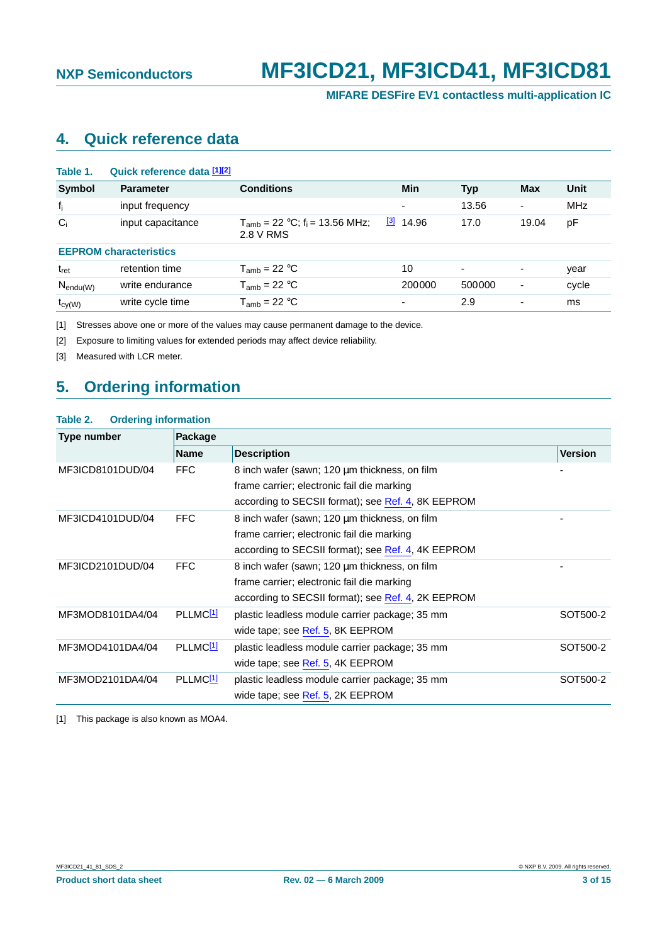**MIFARE DESFire EV1 contactless multi-application IC**

# <span id="page-2-7"></span>**4. Quick reference data**

<span id="page-2-5"></span>

| Table 1.         | Quick reference data [1][2]   |                                                             |                          |                |            |            |
|------------------|-------------------------------|-------------------------------------------------------------|--------------------------|----------------|------------|------------|
| <b>Symbol</b>    | <b>Parameter</b>              | <b>Conditions</b>                                           | Min                      | <b>Typ</b>     | <b>Max</b> | Unit       |
| $f_i$            | input frequency               |                                                             | $\overline{\phantom{a}}$ | 13.56          | ٠          | <b>MHz</b> |
| $C_i$            | input capacitance             | $T_{amb}$ = 22 °C; f <sub>i</sub> = 13.56 MHz;<br>2.8 V RMS | $\boxed{3}$<br>14.96     | 17.0           | 19.04      | pF         |
|                  | <b>EEPROM</b> characteristics |                                                             |                          |                |            |            |
| t <sub>ret</sub> | retention time                | $T_{amb}$ = 22 °C                                           | 10                       | $\overline{a}$ | -          | year       |
| $N_{endu(W)}$    | write endurance               | $T_{amb}$ = 22 °C                                           | 200000                   | 500000         | -          | cycle      |
| $t_{cy(W)}$      | write cycle time              | $T_{amb}$ = 22 °C                                           | ٠                        | 2.9            | -          | ms         |

<span id="page-2-0"></span>[1] Stresses above one or more of the values may cause permanent damage to the device.

<span id="page-2-1"></span>[2] Exposure to limiting values for extended periods may affect device reliability.

<span id="page-2-2"></span>[3] Measured with LCR meter.

### <span id="page-2-4"></span>**5. Ordering information**

#### <span id="page-2-6"></span>**Table 2. Ordering information**

| Type number      | Package              |                                                                                                                                                   |                |  |
|------------------|----------------------|---------------------------------------------------------------------------------------------------------------------------------------------------|----------------|--|
|                  | <b>Name</b>          | <b>Description</b>                                                                                                                                | <b>Version</b> |  |
| MF3ICD8101DUD/04 | <b>FFC</b>           | 8 inch wafer (sawn; 120 µm thickness, on film<br>frame carrier; electronic fail die marking<br>according to SECSII format); see Ref. 4, 8K EEPROM |                |  |
| MF3ICD4101DUD/04 | <b>FFC</b>           | 8 inch wafer (sawn; 120 µm thickness, on film<br>frame carrier; electronic fail die marking<br>according to SECSII format); see Ref. 4, 4K EEPROM |                |  |
| MF3ICD2101DUD/04 | FFC                  | 8 inch wafer (sawn; 120 µm thickness, on film<br>frame carrier; electronic fail die marking<br>according to SECSII format); see Ref. 4, 2K EEPROM |                |  |
| MF3MOD8101DA4/04 | PLLMC <sup>[1]</sup> | plastic leadless module carrier package; 35 mm<br>wide tape; see Ref. 5, 8K EEPROM                                                                | SOT500-2       |  |
| MF3MOD4101DA4/04 | PLLMC <sup>[1]</sup> | plastic leadless module carrier package; 35 mm<br>wide tape; see Ref. 5, 4K EEPROM                                                                | SOT500-2       |  |
| MF3MOD2101DA4/04 | PLLMC <sup>[1]</sup> | plastic leadless module carrier package; 35 mm<br>wide tape; see Ref. 5, 2K EEPROM                                                                | SOT500-2       |  |

<span id="page-2-3"></span>[1] This package is also known as MOA4.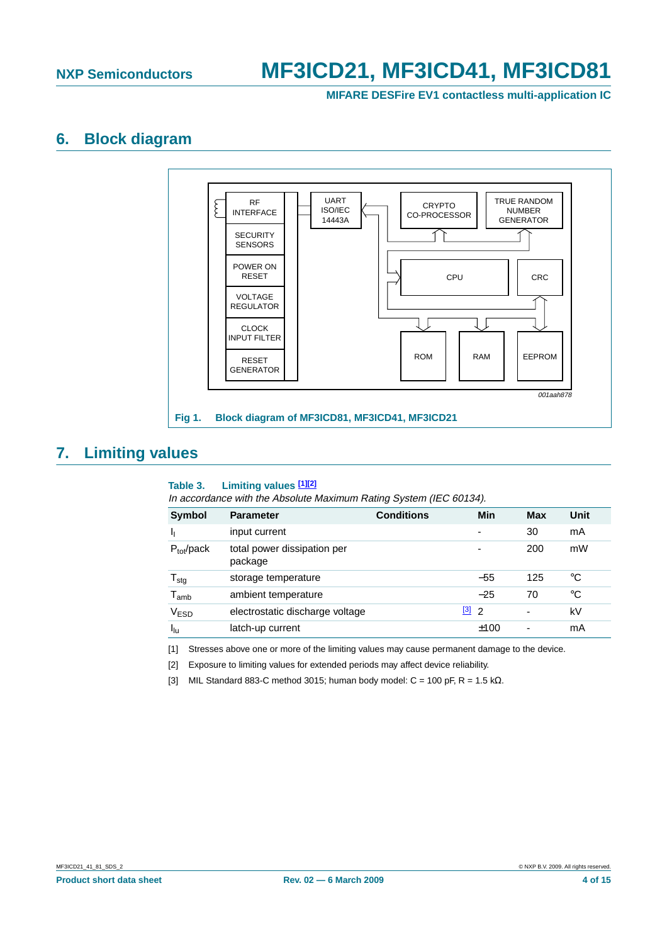**MIFARE DESFire EV1 contactless multi-application IC**

### <span id="page-3-5"></span>**6. Block diagram**



### <span id="page-3-6"></span>**7. Limiting values**

#### <span id="page-3-4"></span><span id="page-3-3"></span>**Table 3. Limiting values [\[1\]](#page-3-0)[\[2\]](#page-3-1)**

In accordance with the Absolute Maximum Rating System (IEC 60134).

| Symbol                     | <b>Parameter</b>                       | <b>Conditions</b> | Min                                    | Max | Unit |
|----------------------------|----------------------------------------|-------------------|----------------------------------------|-----|------|
| <sub>1</sub>               | input current                          |                   | $\overline{a}$                         | 30  | mA   |
| $P_{\text{tot}}$ /pack     | total power dissipation per<br>package |                   | $\overline{\phantom{0}}$               | 200 | mW   |
| ${\mathsf T}_{\text{stg}}$ | storage temperature                    |                   | $-55$                                  | 125 | °C   |
| ${\tt T}_{\mathsf{amb}}$   | ambient temperature                    |                   | $-25$                                  | 70  | °C   |
| V <sub>ESD</sub>           | electrostatic discharge voltage        |                   | $\begin{bmatrix} 3 \\ 2 \end{bmatrix}$ | ۰   | kV   |
| $I_{\text{lu}}$            | latch-up current                       |                   | ±100                                   |     | mA   |

<span id="page-3-0"></span>[1] Stresses above one or more of the limiting values may cause permanent damage to the device.

<span id="page-3-1"></span>[2] Exposure to limiting values for extended periods may affect device reliability.

<span id="page-3-2"></span>[3] MIL Standard 883-C method 3015; human body model: C = 100 pF, R = 1.5 k $\Omega$ .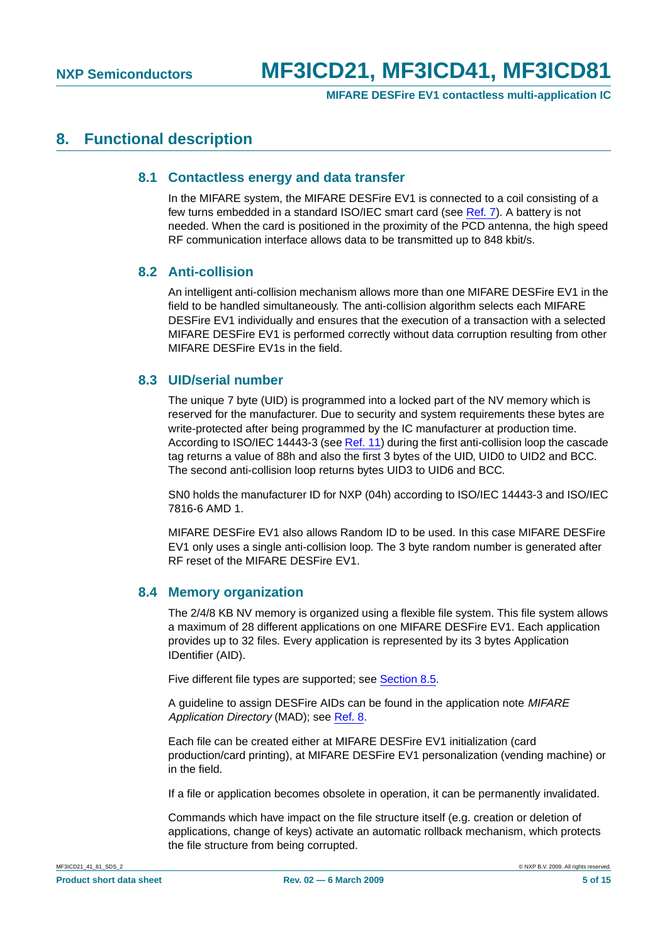**MIFARE DESFire EV1 contactless multi-application IC**

### <span id="page-4-1"></span><span id="page-4-0"></span>**8. Functional description**

#### **8.1 Contactless energy and data transfer**

In the MIFARE system, the MIFARE DESFire EV1 is connected to a coil consisting of a few turns embedded in a standard ISO/IEC smart card (see [Ref.](#page-11-2) 7). A battery is not needed. When the card is positioned in the proximity of the PCD antenna, the high speed RF communication interface allows data to be transmitted up to 848 kbit/s.

#### <span id="page-4-2"></span>**8.2 Anti-collision**

An intelligent anti-collision mechanism allows more than one MIFARE DESFire EV1 in the field to be handled simultaneously. The anti-collision algorithm selects each MIFARE DESFire EV1 individually and ensures that the execution of a transaction with a selected MIFARE DESFire EV1 is performed correctly without data corruption resulting from other MIFARE DESFire EV1s in the field.

#### <span id="page-4-3"></span>**8.3 UID/serial number**

The unique 7 byte (UID) is programmed into a locked part of the NV memory which is reserved for the manufacturer. Due to security and system requirements these bytes are write-protected after being programmed by the IC manufacturer at production time. According to ISO/IEC 14443-3 (see [Ref.](#page-11-3) 11) during the first anti-collision loop the cascade tag returns a value of 88h and also the first 3 bytes of the UID, UID0 to UID2 and BCC. The second anti-collision loop returns bytes UID3 to UID6 and BCC.

SN0 holds the manufacturer ID for NXP (04h) according to ISO/IEC 14443-3 and ISO/IEC 7816-6 AMD 1.

MIFARE DESFire EV1 also allows Random ID to be used. In this case MIFARE DESFire EV1 only uses a single anti-collision loop. The 3 byte random number is generated after RF reset of the MIFARE DESFire EV1.

#### <span id="page-4-4"></span>**8.4 Memory organization**

The 2/4/8 KB NV memory is organized using a flexible file system. This file system allows a maximum of 28 different applications on one MIFARE DESFire EV1. Each application provides up to 32 files. Every application is represented by its 3 bytes Application IDentifier (AID).

Five different file types are supported; see [Section](#page-5-0) 8.5.

A guideline to assign DESFire AIDs can be found in the application note MIFARE Application Directory (MAD); see [Ref.](#page-11-4) 8.

Each file can be created either at MIFARE DESFire EV1 initialization (card production/card printing), at MIFARE DESFire EV1 personalization (vending machine) or in the field.

If a file or application becomes obsolete in operation, it can be permanently invalidated.

Commands which have impact on the file structure itself (e.g. creation or deletion of applications, change of keys) activate an automatic rollback mechanism, which protects the file structure from being corrupted.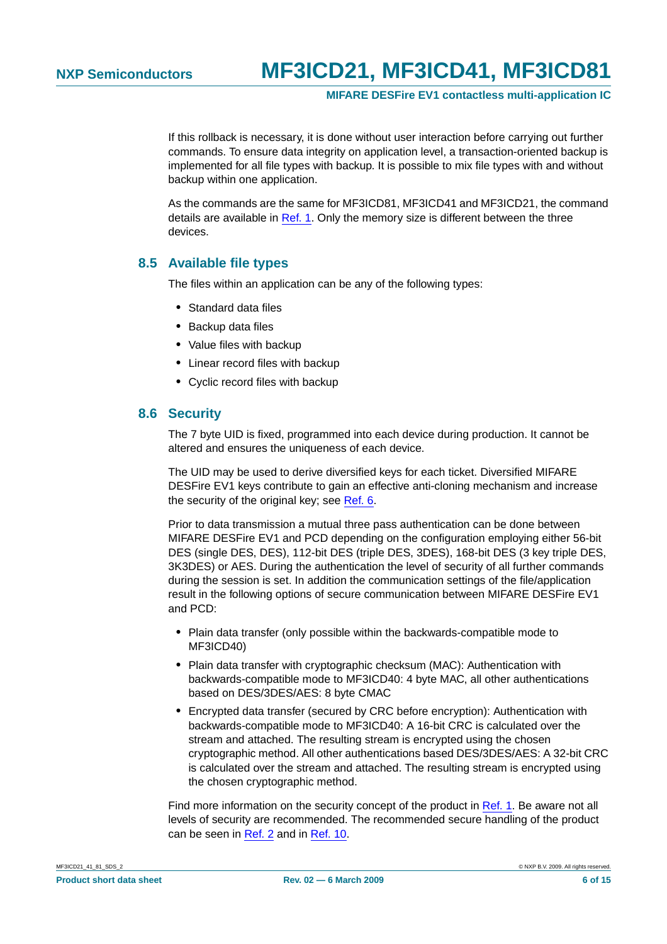**MIFARE DESFire EV1 contactless multi-application IC**

If this rollback is necessary, it is done without user interaction before carrying out further commands. To ensure data integrity on application level, a transaction-oriented backup is implemented for all file types with backup. It is possible to mix file types with and without backup within one application.

As the commands are the same for MF3ICD81, MF3ICD41 and MF3ICD21, the command details are available in [Ref.](#page-11-5) 1. Only the memory size is different between the three devices.

#### <span id="page-5-0"></span>**8.5 Available file types**

The files within an application can be any of the following types:

- **•** Standard data files
- **•** Backup data files
- **•** Value files with backup
- **•** Linear record files with backup
- **•** Cyclic record files with backup

#### <span id="page-5-1"></span>**8.6 Security**

The 7 byte UID is fixed, programmed into each device during production. It cannot be altered and ensures the uniqueness of each device.

The UID may be used to derive diversified keys for each ticket. Diversified MIFARE DESFire EV1 keys contribute to gain an effective anti-cloning mechanism and increase the security of the original key; see [Ref.](#page-11-6) 6.

Prior to data transmission a mutual three pass authentication can be done between MIFARE DESFire EV1 and PCD depending on the configuration employing either 56-bit DES (single DES, DES), 112-bit DES (triple DES, 3DES), 168-bit DES (3 key triple DES, 3K3DES) or AES. During the authentication the level of security of all further commands during the session is set. In addition the communication settings of the file/application result in the following options of secure communication between MIFARE DESFire EV1 and PCD:

- **•** Plain data transfer (only possible within the backwards-compatible mode to MF3ICD40)
- **•** Plain data transfer with cryptographic checksum (MAC): Authentication with backwards-compatible mode to MF3ICD40: 4 byte MAC, all other authentications based on DES/3DES/AES: 8 byte CMAC
- **•** Encrypted data transfer (secured by CRC before encryption): Authentication with backwards-compatible mode to MF3ICD40: A 16-bit CRC is calculated over the stream and attached. The resulting stream is encrypted using the chosen cryptographic method. All other authentications based DES/3DES/AES: A 32-bit CRC is calculated over the stream and attached. The resulting stream is encrypted using the chosen cryptographic method.

Find more information on the security concept of the product in [Ref.](#page-11-5) 1. Be aware not all levels of security are recommended. The recommended secure handling of the product can be seen in [Ref.](#page-11-7) 2 and in [Ref.](#page-11-8) 10.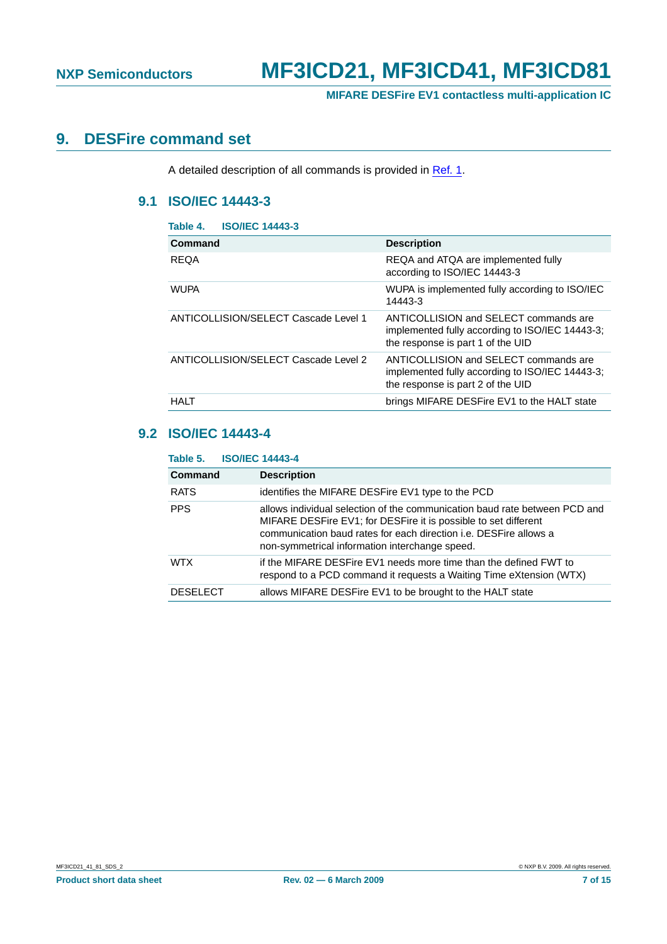**MIFARE DESFire EV1 contactless multi-application IC**

### <span id="page-6-3"></span><span id="page-6-2"></span>**9. DESFire command set**

A detailed description of all commands is provided in [Ref.](#page-11-5) 1.

### **9.1 ISO/IEC 14443-3**

<span id="page-6-0"></span>

| Table 4.    | <b>ISO/IEC 14443-3</b>               |                                                                                                                               |
|-------------|--------------------------------------|-------------------------------------------------------------------------------------------------------------------------------|
| Command     |                                      | <b>Description</b>                                                                                                            |
| <b>REQA</b> |                                      | REQA and ATQA are implemented fully<br>according to ISO/IEC 14443-3                                                           |
| <b>WUPA</b> |                                      | WUPA is implemented fully according to ISO/IEC<br>14443-3                                                                     |
|             | ANTICOLLISION/SELECT Cascade Level 1 | ANTICOLLISION and SELECT commands are<br>implemented fully according to ISO/IEC 14443-3;<br>the response is part 1 of the UID |
|             | ANTICOLLISION/SELECT Cascade Level 2 | ANTICOLLISION and SELECT commands are<br>implemented fully according to ISO/IEC 14443-3;<br>the response is part 2 of the UID |
| <b>HALT</b> |                                      | brings MIFARE DESFire EV1 to the HALT state                                                                                   |
|             |                                      |                                                                                                                               |

### <span id="page-6-4"></span>**9.2 ISO/IEC 14443-4**

<span id="page-6-1"></span>

| Table 5.        | <b>ISO/IEC 14443-4</b>                                                                                                                                                                                                                                                      |  |  |  |  |
|-----------------|-----------------------------------------------------------------------------------------------------------------------------------------------------------------------------------------------------------------------------------------------------------------------------|--|--|--|--|
| <b>Command</b>  | <b>Description</b>                                                                                                                                                                                                                                                          |  |  |  |  |
| <b>RATS</b>     | identifies the MIFARE DESFire EV1 type to the PCD                                                                                                                                                                                                                           |  |  |  |  |
| <b>PPS</b>      | allows individual selection of the communication baud rate between PCD and<br>MIFARE DESFire EV1; for DESFire it is possible to set different<br>communication baud rates for each direction <i>i.e.</i> DESFire allows a<br>non-symmetrical information interchange speed. |  |  |  |  |
| <b>WTX</b>      | if the MIFARE DESFire EV1 needs more time than the defined FWT to<br>respond to a PCD command it requests a Waiting Time eXtension (WTX)                                                                                                                                    |  |  |  |  |
| <b>DESELECT</b> | allows MIFARE DESFire EV1 to be brought to the HALT state                                                                                                                                                                                                                   |  |  |  |  |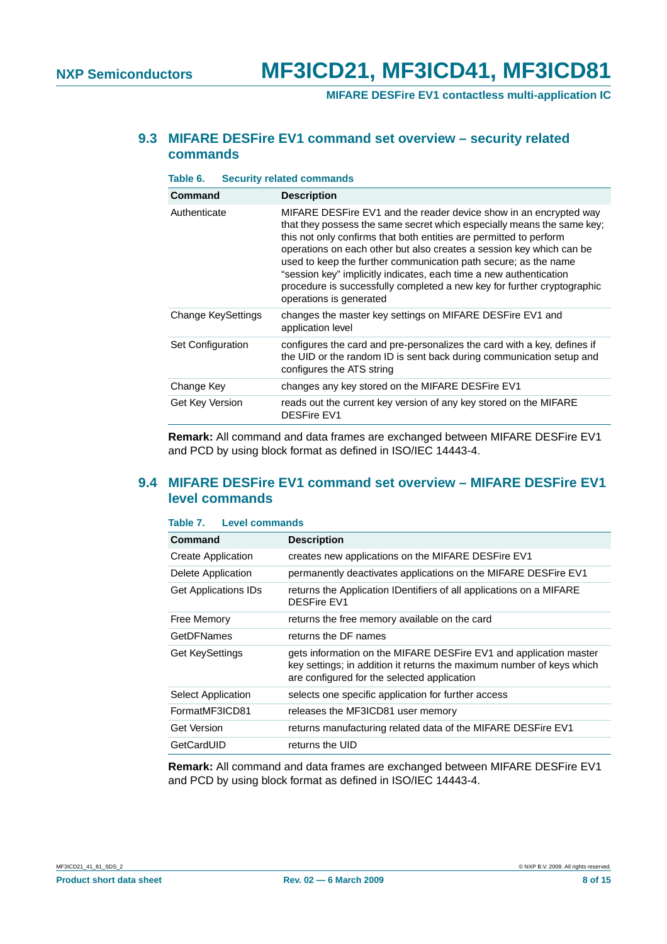**MIFARE DESFire EV1 contactless multi-application IC**

#### <span id="page-7-2"></span>**9.3 MIFARE DESFire EV1 command set overview – security related commands**

<span id="page-7-0"></span>

| Table 6.           | <b>Security related commands</b>                                                                                                                                                                                                                                                                                                                                                                                                                                                                                                         |  |  |  |
|--------------------|------------------------------------------------------------------------------------------------------------------------------------------------------------------------------------------------------------------------------------------------------------------------------------------------------------------------------------------------------------------------------------------------------------------------------------------------------------------------------------------------------------------------------------------|--|--|--|
| <b>Command</b>     | <b>Description</b>                                                                                                                                                                                                                                                                                                                                                                                                                                                                                                                       |  |  |  |
| Authenticate       | MIFARE DESFire EV1 and the reader device show in an encrypted way<br>that they possess the same secret which especially means the same key;<br>this not only confirms that both entities are permitted to perform<br>operations on each other but also creates a session key which can be<br>used to keep the further communication path secure; as the name<br>"session key" implicitly indicates, each time a new authentication<br>procedure is successfully completed a new key for further cryptographic<br>operations is generated |  |  |  |
| Change KeySettings | changes the master key settings on MIFARE DESFire EV1 and<br>application level                                                                                                                                                                                                                                                                                                                                                                                                                                                           |  |  |  |
| Set Configuration  | configures the card and pre-personalizes the card with a key, defines if<br>the UID or the random ID is sent back during communication setup and<br>configures the ATS string                                                                                                                                                                                                                                                                                                                                                            |  |  |  |
| Change Key         | changes any key stored on the MIFARE DESFire EV1                                                                                                                                                                                                                                                                                                                                                                                                                                                                                         |  |  |  |
| Get Key Version    | reads out the current key version of any key stored on the MIFARE<br><b>DESFire EV1</b>                                                                                                                                                                                                                                                                                                                                                                                                                                                  |  |  |  |

**Remark:** All command and data frames are exchanged between MIFARE DESFire EV1 and PCD by using block format as defined in ISO/IEC 14443-4.

#### <span id="page-7-3"></span>**9.4 MIFARE DESFire EV1 command set overview – MIFARE DESFire EV1 level commands**

#### <span id="page-7-1"></span>**Table 7. Level commands**

| Command                     | <b>Description</b>                                                                                                                                                                        |
|-----------------------------|-------------------------------------------------------------------------------------------------------------------------------------------------------------------------------------------|
| <b>Create Application</b>   | creates new applications on the MIFARE DESFire EV1                                                                                                                                        |
| Delete Application          | permanently deactivates applications on the MIFARE DESFire EV1                                                                                                                            |
| <b>Get Applications IDs</b> | returns the Application IDentifiers of all applications on a MIFARE<br><b>DESFire EV1</b>                                                                                                 |
| Free Memory                 | returns the free memory available on the card                                                                                                                                             |
| <b>GetDFNames</b>           | returns the DF names                                                                                                                                                                      |
| <b>Get KeySettings</b>      | gets information on the MIFARE DESFire EV1 and application master<br>key settings; in addition it returns the maximum number of keys which<br>are configured for the selected application |
| Select Application          | selects one specific application for further access                                                                                                                                       |
| FormatMF3ICD81              | releases the MF3ICD81 user memory                                                                                                                                                         |
| <b>Get Version</b>          | returns manufacturing related data of the MIFARE DESFire EV1                                                                                                                              |
| GetCardUID                  | returns the UID                                                                                                                                                                           |

**Remark:** All command and data frames are exchanged between MIFARE DESFire EV1 and PCD by using block format as defined in ISO/IEC 14443-4.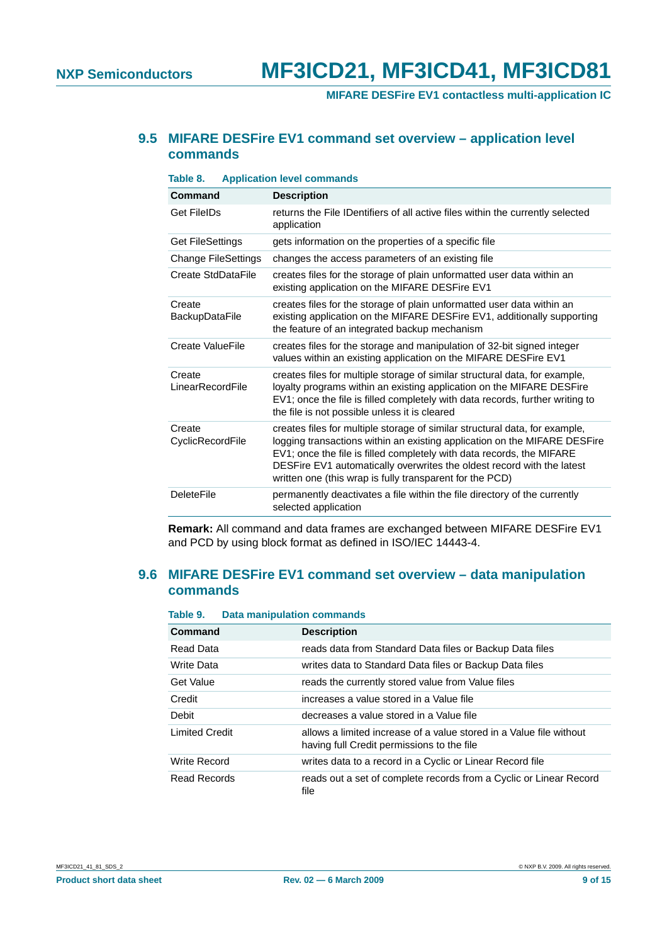**MIFARE DESFire EV1 contactless multi-application IC**

#### <span id="page-8-2"></span>**9.5 MIFARE DESFire EV1 command set overview – application level commands**

<span id="page-8-0"></span>**Table 8. Application level commands Command Description** Get FileIDs returns the File IDentifiers of all active files within the currently selected application Get FileSettings ets information on the properties of a specific file Change FileSettings changes the access parameters of an existing file Create StdDataFile creates files for the storage of plain unformatted user data within an existing application on the MIFARE DESFire EV1 Create **BackupDataFile** creates files for the storage of plain unformatted user data within an existing application on the MIFARE DESFire EV1, additionally supporting the feature of an integrated backup mechanism Create ValueFile creates files for the storage and manipulation of 32-bit signed integer values within an existing application on the MIFARE DESFire EV1 **Create** LinearRecordFile creates files for multiple storage of similar structural data, for example, loyalty programs within an existing application on the MIFARE DESFire EV1; once the file is filled completely with data records, further writing to the file is not possible unless it is cleared **Create** CyclicRecordFile creates files for multiple storage of similar structural data, for example, logging transactions within an existing application on the MIFARE DESFire EV1; once the file is filled completely with data records, the MIFARE DESFire EV1 automatically overwrites the oldest record with the latest written one (this wrap is fully transparent for the PCD) DeleteFile **permanently deactivates a file within the file directory of the currently** selected application

**Remark:** All command and data frames are exchanged between MIFARE DESFire EV1 and PCD by using block format as defined in ISO/IEC 14443-4.

#### <span id="page-8-3"></span>**9.6 MIFARE DESFire EV1 command set overview – data manipulation commands**

<span id="page-8-1"></span>

| Table 9.              | <b>Data manipulation commands</b>                                                                                 |  |  |
|-----------------------|-------------------------------------------------------------------------------------------------------------------|--|--|
| Command               | <b>Description</b>                                                                                                |  |  |
| Read Data             | reads data from Standard Data files or Backup Data files                                                          |  |  |
| Write Data            | writes data to Standard Data files or Backup Data files                                                           |  |  |
| Get Value             | reads the currently stored value from Value files                                                                 |  |  |
| Credit                | increases a value stored in a Value file                                                                          |  |  |
| Debit                 | decreases a value stored in a Value file                                                                          |  |  |
| <b>Limited Credit</b> | allows a limited increase of a value stored in a Value file without<br>having full Credit permissions to the file |  |  |
| <b>Write Record</b>   | writes data to a record in a Cyclic or Linear Record file                                                         |  |  |
| Read Records          | reads out a set of complete records from a Cyclic or Linear Record<br>file                                        |  |  |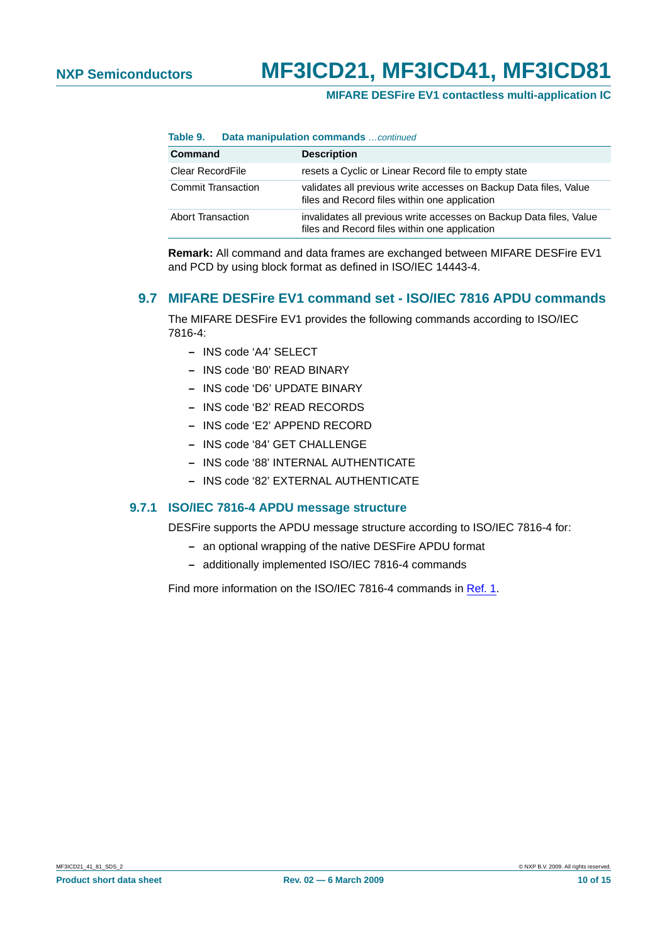#### **MIFARE DESFire EV1 contactless multi-application IC**

**Table 9. Data manipulation commands** …continued

| <b>Command</b>            | <b>Description</b>                                                                                                   |
|---------------------------|----------------------------------------------------------------------------------------------------------------------|
| Clear RecordFile          | resets a Cyclic or Linear Record file to empty state                                                                 |
| <b>Commit Transaction</b> | validates all previous write accesses on Backup Data files, Value<br>files and Record files within one application   |
| Abort Transaction         | invalidates all previous write accesses on Backup Data files, Value<br>files and Record files within one application |

**Remark:** All command and data frames are exchanged between MIFARE DESFire EV1 and PCD by using block format as defined in ISO/IEC 14443-4.

#### <span id="page-9-0"></span>**9.7 MIFARE DESFire EV1 command set - ISO/IEC 7816 APDU commands**

The MIFARE DESFire EV1 provides the following commands according to ISO/IEC 7816-4:

- **–** INS code 'A4' SELECT
- **–** INS code 'B0' READ BINARY
- **–** INS code 'D6' UPDATE BINARY
- **–** INS code 'B2' READ RECORDS
- **–** INS code 'E2' APPEND RECORD
- **–** INS code '84' GET CHALLENGE
- **–** INS code '88' INTERNAL AUTHENTICATE
- **–** INS code '82' EXTERNAL AUTHENTICATE

#### <span id="page-9-1"></span>**9.7.1 ISO/IEC 7816-4 APDU message structure**

DESFire supports the APDU message structure according to ISO/IEC 7816-4 for:

- **–** an optional wrapping of the native DESFire APDU format
- **–** additionally implemented ISO/IEC 7816-4 commands

Find more information on the ISO/IEC 7816-4 commands in [Ref.](#page-11-5) 1.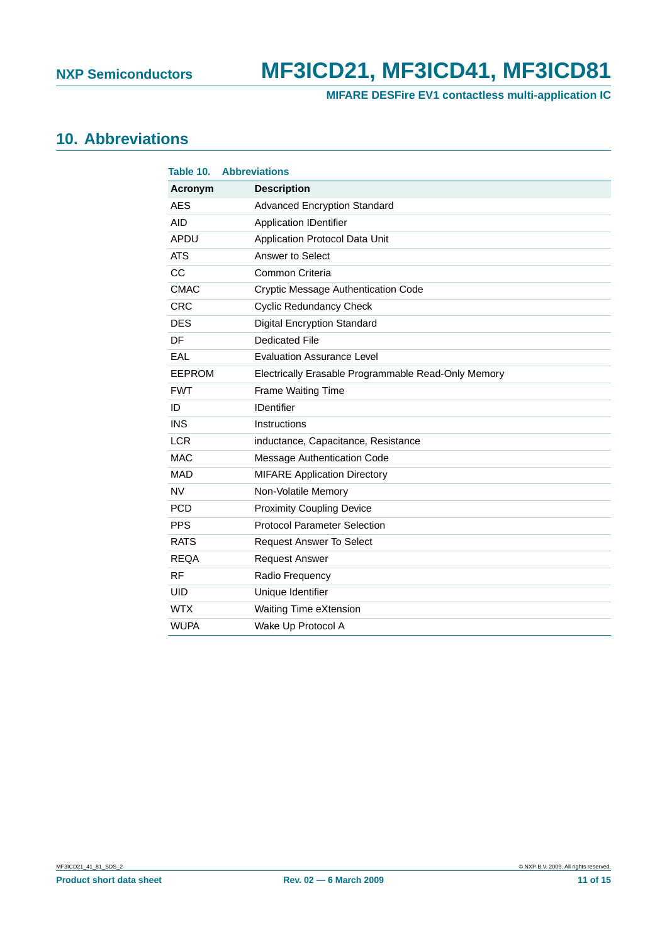**MIFARE DESFire EV1 contactless multi-application IC**

# <span id="page-10-1"></span>**10. Abbreviations**

<span id="page-10-0"></span>

| Table 10.   | <b>Abbreviations</b>                                |
|-------------|-----------------------------------------------------|
| Acronym     | <b>Description</b>                                  |
| <b>AES</b>  | <b>Advanced Encryption Standard</b>                 |
| AID         | <b>Application IDentifier</b>                       |
| APDU        | Application Protocol Data Unit                      |
| <b>ATS</b>  | Answer to Select                                    |
| CC          | Common Criteria                                     |
| <b>CMAC</b> | Cryptic Message Authentication Code                 |
| <b>CRC</b>  | <b>Cyclic Redundancy Check</b>                      |
| <b>DES</b>  | <b>Digital Encryption Standard</b>                  |
| DF          | <b>Dedicated File</b>                               |
| EAL         | <b>Evaluation Assurance Level</b>                   |
| EEPROM      | Electrically Erasable Programmable Read-Only Memory |
| <b>FWT</b>  | Frame Waiting Time                                  |
| ID          | <b>IDentifier</b>                                   |
| <b>INS</b>  | Instructions                                        |
| <b>LCR</b>  | inductance, Capacitance, Resistance                 |
| <b>MAC</b>  | Message Authentication Code                         |
| <b>MAD</b>  | <b>MIFARE Application Directory</b>                 |
| <b>NV</b>   | Non-Volatile Memory                                 |
| <b>PCD</b>  | <b>Proximity Coupling Device</b>                    |
| <b>PPS</b>  | <b>Protocol Parameter Selection</b>                 |
| <b>RATS</b> | <b>Request Answer To Select</b>                     |
| <b>REQA</b> | <b>Request Answer</b>                               |
| <b>RF</b>   | Radio Frequency                                     |
| <b>UID</b>  | Unique Identifier                                   |
| <b>WTX</b>  | Waiting Time eXtension                              |
| <b>WUPA</b> | Wake Up Protocol A                                  |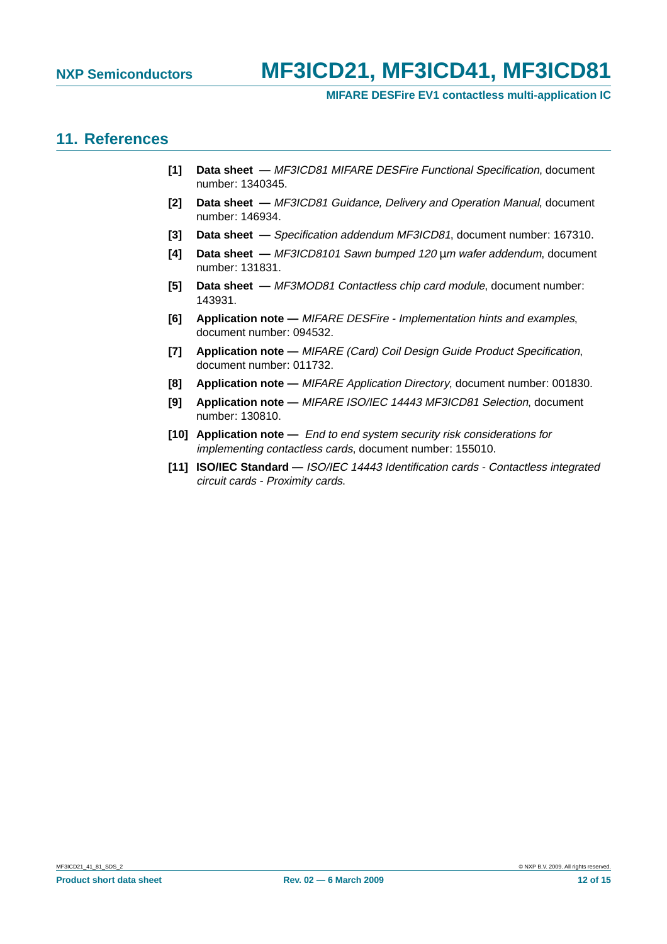#### **MIFARE DESFire EV1 contactless multi-application IC**

### <span id="page-11-9"></span>**11. References**

- <span id="page-11-5"></span>**[1] Data sheet —** MF3ICD81 MIFARE DESFire Functional Specification, document number: 1340345.
- <span id="page-11-7"></span>**[2] Data sheet —** MF3ICD81 Guidance, Delivery and Operation Manual, document number: 146934.
- **[3] Data sheet —** Specification addendum MF3ICD81, document number: 167310.
- <span id="page-11-0"></span>**[4] Data sheet —** MF3ICD8101 Sawn bumped 120 µm wafer addendum, document number: 131831.
- <span id="page-11-1"></span>**[5] Data sheet —** MF3MOD81 Contactless chip card module, document number: 143931.
- <span id="page-11-6"></span>**[6] Application note —** MIFARE DESFire - Implementation hints and examples, document number: 094532.
- <span id="page-11-2"></span>**[7] Application note —** MIFARE (Card) Coil Design Guide Product Specification, document number: 011732.
- <span id="page-11-4"></span>**[8] Application note —** MIFARE Application Directory, document number: 001830.
- **[9] Application note —** MIFARE ISO/IEC 14443 MF3ICD81 Selection, document number: 130810.
- <span id="page-11-8"></span>**[10] Application note —** End to end system security risk considerations for implementing contactless cards, document number: 155010.
- <span id="page-11-3"></span>**[11] ISO/IEC Standard —** ISO/IEC 14443 Identification cards - Contactless integrated circuit cards - Proximity cards.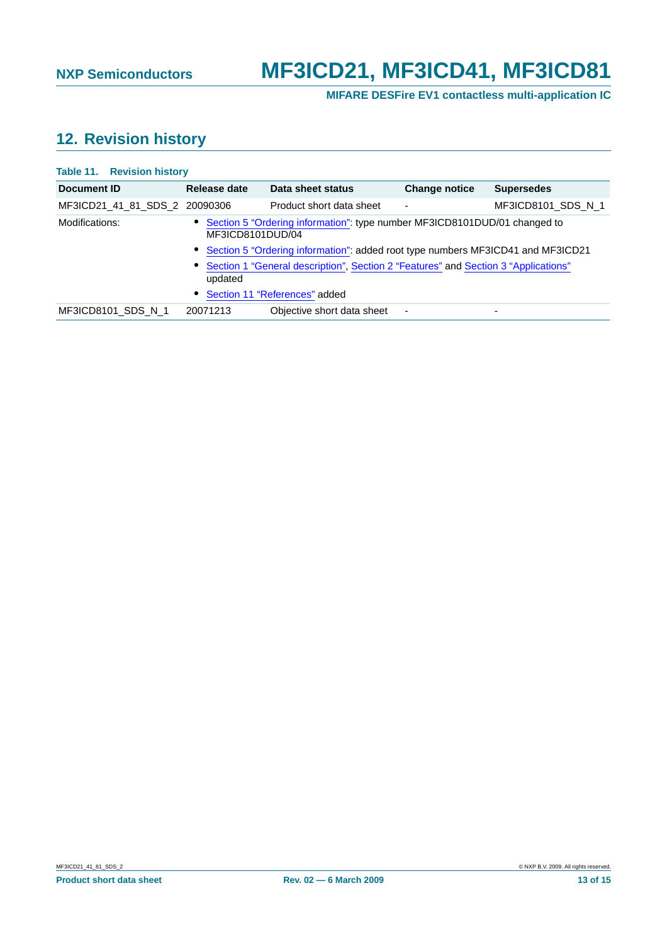**MIFARE DESFire EV1 contactless multi-application IC**

# <span id="page-12-1"></span>**12. Revision history**

#### <span id="page-12-0"></span>**Table 11. Revision history**

| Document ID                   | Release date     | Data sheet status                                                                    | <b>Change notice</b> | <b>Supersedes</b>  |
|-------------------------------|------------------|--------------------------------------------------------------------------------------|----------------------|--------------------|
| MF3ICD21 41 81 SDS 2 20090306 |                  | Product short data sheet                                                             |                      | MF3ICD8101 SDS N 1 |
| Modifications:                | MF3ICD8101DUD/04 | • Section 5 "Ordering information": type number MF3ICD8101DUD/01 changed to          |                      |                    |
|                               |                  | • Section 5 "Ordering information": added root type numbers MF3ICD41 and MF3ICD21    |                      |                    |
|                               | updated          | • Section 1 "General description", Section 2 "Features" and Section 3 "Applications" |                      |                    |
|                               |                  | • Section 11 "References" added                                                      |                      |                    |
| MF3ICD8101 SDS N 1            | 20071213         | Objective short data sheet                                                           |                      |                    |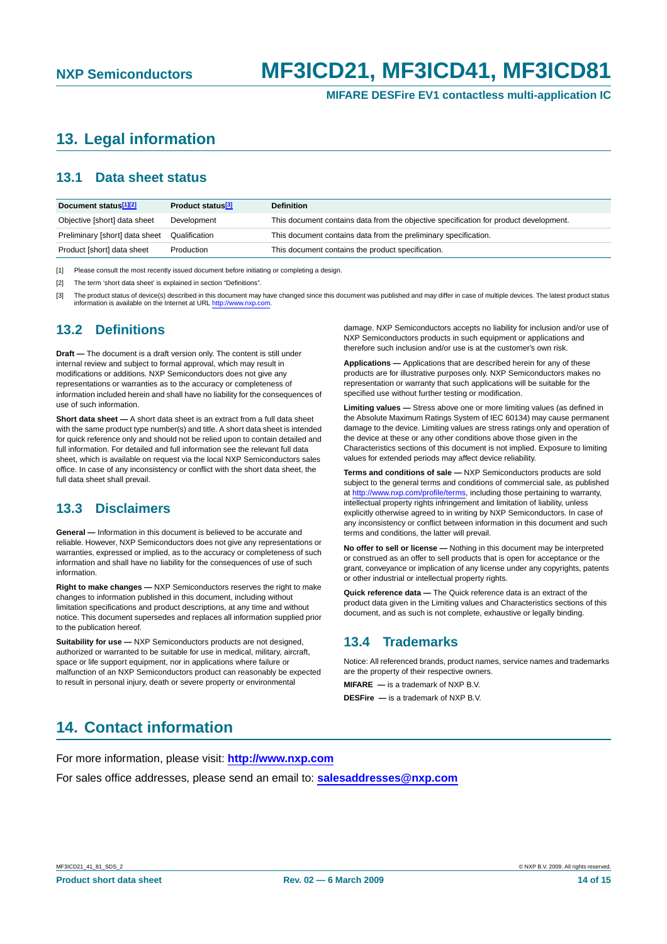**MIFARE DESFire EV1 contactless multi-application IC**

# <span id="page-13-0"></span>**13. Legal information**

#### <span id="page-13-1"></span>**13.1 Data sheet status**

| Document status <sup>[1][2]</sup> | Product status <sup>[3]</sup> | <b>Definition</b>                                                                     |
|-----------------------------------|-------------------------------|---------------------------------------------------------------------------------------|
| Objective [short] data sheet      | Development                   | This document contains data from the objective specification for product development. |
| Preliminary [short] data sheet    | Qualification                 | This document contains data from the preliminary specification.                       |
| Product [short] data sheet        | Production                    | This document contains the product specification.                                     |

[1] Please consult the most recently issued document before initiating or completing a design.

[2] The term 'short data sheet' is explained in section "Definitions".

[3] The product status of device(s) described in this document may have changed since this document was published and may differ in case of multiple devices. The latest product status information is available on the Internet at URL <http://www.nxp.com>.

#### <span id="page-13-2"></span>**13.2 Definitions**

**Draft —** The document is a draft version only. The content is still under internal review and subject to formal approval, which may result in modifications or additions. NXP Semiconductors does not give any representations or warranties as to the accuracy or completeness of information included herein and shall have no liability for the consequences of use of such information.

**Short data sheet —** A short data sheet is an extract from a full data sheet with the same product type number(s) and title. A short data sheet is intended for quick reference only and should not be relied upon to contain detailed and full information. For detailed and full information see the relevant full data sheet, which is available on request via the local NXP Semiconductors sales office. In case of any inconsistency or conflict with the short data sheet, the full data sheet shall prevail.

#### <span id="page-13-3"></span>**13.3 Disclaimers**

**General —** Information in this document is believed to be accurate and reliable. However, NXP Semiconductors does not give any representations or warranties, expressed or implied, as to the accuracy or completeness of such information and shall have no liability for the consequences of use of such information.

**Right to make changes —** NXP Semiconductors reserves the right to make changes to information published in this document, including without limitation specifications and product descriptions, at any time and without notice. This document supersedes and replaces all information supplied prior to the publication hereof.

**Suitability for use —** NXP Semiconductors products are not designed, authorized or warranted to be suitable for use in medical, military, aircraft, space or life support equipment, nor in applications where failure or malfunction of an NXP Semiconductors product can reasonably be expected to result in personal injury, death or severe property or environmental

damage. NXP Semiconductors accepts no liability for inclusion and/or use of NXP Semiconductors products in such equipment or applications and therefore such inclusion and/or use is at the customer's own risk.

**Applications —** Applications that are described herein for any of these products are for illustrative purposes only. NXP Semiconductors makes no representation or warranty that such applications will be suitable for the specified use without further testing or modification.

**Limiting values —** Stress above one or more limiting values (as defined in the Absolute Maximum Ratings System of IEC 60134) may cause permanent damage to the device. Limiting values are stress ratings only and operation of the device at these or any other conditions above those given in the Characteristics sections of this document is not implied. Exposure to limiting values for extended periods may affect device reliability.

**Terms and conditions of sale —** NXP Semiconductors products are sold subject to the general terms and conditions of commercial sale, as published at <http://www.nxp.com/profile/terms>, including those pertaining to warranty, intellectual property rights infringement and limitation of liability, unless explicitly otherwise agreed to in writing by NXP Semiconductors. In case of any inconsistency or conflict between information in this document and such terms and conditions, the latter will prevail.

**No offer to sell or license —** Nothing in this document may be interpreted or construed as an offer to sell products that is open for acceptance or the grant, conveyance or implication of any license under any copyrights, patents or other industrial or intellectual property rights.

**Quick reference data —** The Quick reference data is an extract of the product data given in the Limiting values and Characteristics sections of this document, and as such is not complete, exhaustive or legally binding.

#### <span id="page-13-4"></span>**13.4 Trademarks**

Notice: All referenced brands, product names, service names and trademarks are the property of their respective owners.

**MIFARE —** is a trademark of NXP B.V.

**DESFire —** is a trademark of NXP B.V.

# <span id="page-13-5"></span>**14. Contact information**

For more information, please visit: **http://www.nxp.com**

For sales office addresses, please send an email to: **salesaddresses@nxp.com**

MF3ICD21\_41\_81\_SDS\_2 © NXP B.V. 2009. All rights reserved.